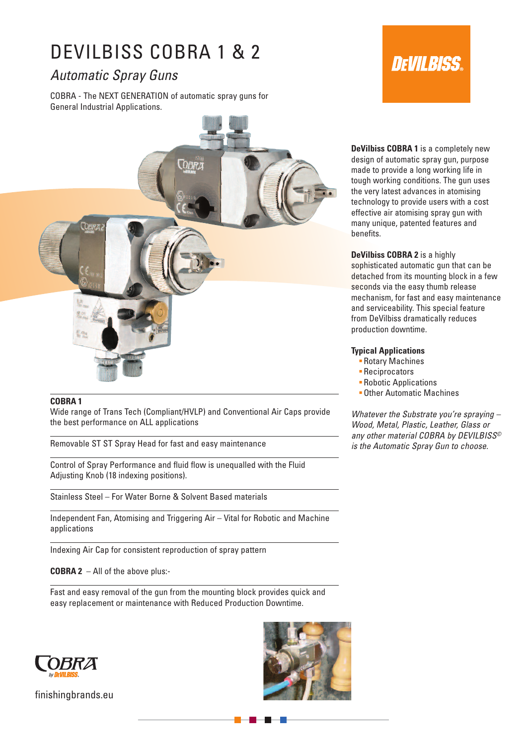# DEVILBISS COBRA 1 & 2

# *Automatic Spray Guns*

COBRA - The NEXT GENERATION of automatic spray guns for General Industrial Applications.



## **COBRA 1**

Wide range of Trans Tech (Compliant/HVLP) and Conventional Air Caps provide the best performance on ALL applications

Removable ST ST Spray Head for fast and easy maintenance

Control of Spray Performance and fluid flow is unequalled with the Fluid Adjusting Knob (18 indexing positions).

Stainless Steel – For Water Borne & Solvent Based materials

Independent Fan, Atomising and Triggering Air – Vital for Robotic and Machine applications

Indexing Air Cap for consistent reproduction of spray pattern

**COBRA 2** – All of the above plus:-

Fast and easy removal of the gun from the mounting block provides quick and easy replacement or maintenance with Reduced Production Downtime.



finishingbrands.eu





**DeVilbiss COBRA 1** is a completely new design of automatic spray gun, purpose made to provide a long working life in tough working conditions. The gun uses the very latest advances in atomising technology to provide users with a cost effective air atomising spray gun with many unique, patented features and benefits.

**DeVilbiss COBRA 2** is a highly

sophisticated automatic gun that can be detached from its mounting block in a few seconds via the easy thumb release mechanism, for fast and easy maintenance and serviceability. This special feature from DeVilbiss dramatically reduces production downtime.

### **Typical Applications**

- Rotary Machines
- Reciprocators
- Robotic Applications
- Other Automatic Machines

*Whatever the Substrate you're spraying – Wood, Metal, Plastic, Leather, Glass or any other material COBRA by DEVILBISS© is the Automatic Spray Gun to choose.*